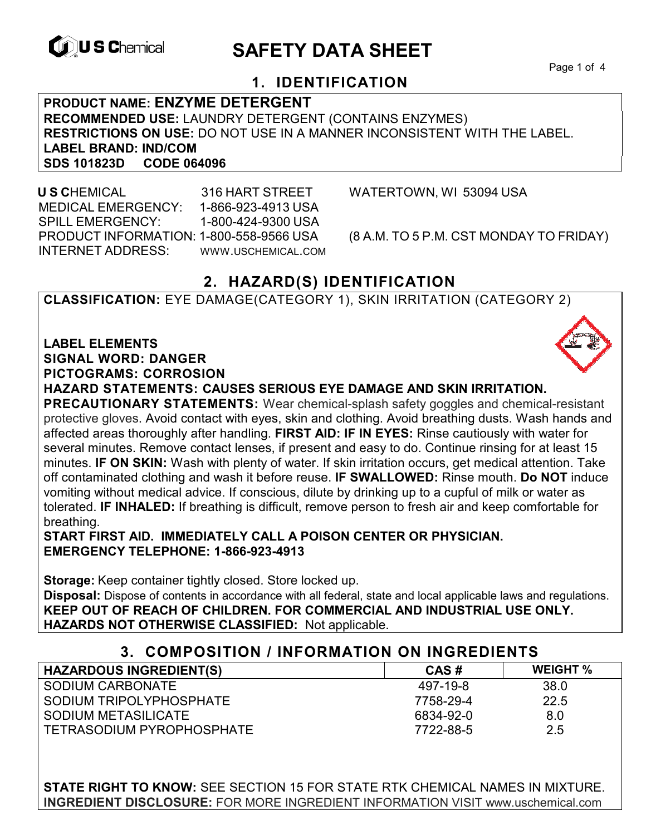

# **EXAGREM** SAFETY DATA SHEET

Page 1 of 4

## **1. IDENTIFICATION**

**PRODUCT NAME: ENZYME DETERGENT RECOMMENDED USE:** LAUNDRY DETERGENT (CONTAINS ENZYMES) **RESTRICTIONS ON USE:** DO NOT USE IN A MANNER INCONSISTENT WITH THE LABEL. **LABEL BRAND: IND/COM SDS 101823D CODE 064096** 

 **U S C**HEMICAL 316 HART STREET WATERTOWN, WI 53094 USA MEDICAL EMERGENCY: 1-866-923-4913 USA SPILL EMERGENCY: 1-800-424-9300 USA PRODUCT INFORMATION: 1-800-558-9566 USA (8 A.M. TO 5 P.M. CST MONDAY TO FRIDAY) INTERNET ADDRESS: WWW.USCHEMICAL.COM

## **2. HAZARD(S) IDENTIFICATION**

**CLASSIFICATION:** EYE DAMAGE(CATEGORY 1), SKIN IRRITATION (CATEGORY 2)

**LABEL ELEMENTS SIGNAL WORD: DANGER PICTOGRAMS: CORROSION**

**HAZARD STATEMENTS: CAUSES SERIOUS EYE DAMAGE AND SKIN IRRITATION.** 

**PRECAUTIONARY STATEMENTS:** Wear chemical-splash safety goggles and chemical-resistant protective gloves. Avoid contact with eyes, skin and clothing. Avoid breathing dusts. Wash hands and affected areas thoroughly after handling. **FIRST AID: IF IN EYES:** Rinse cautiously with water for several minutes. Remove contact lenses, if present and easy to do. Continue rinsing for at least 15 minutes. **IF ON SKIN:** Wash with plenty of water. If skin irritation occurs, get medical attention. Take off contaminated clothing and wash it before reuse. **IF SWALLOWED:** Rinse mouth. **Do NOT** induce vomiting without medical advice. If conscious, dilute by drinking up to a cupful of milk or water as tolerated. **IF INHALED:** If breathing is difficult, remove person to fresh air and keep comfortable for breathing.

**START FIRST AID. IMMEDIATELY CALL A POISON CENTER OR PHYSICIAN. EMERGENCY TELEPHONE: 1-866-923-4913**

**Storage:** Keep container tightly closed. Store locked up.

**Disposal:** Dispose of contents in accordance with all federal, state and local applicable laws and regulations. **KEEP OUT OF REACH OF CHILDREN. FOR COMMERCIAL AND INDUSTRIAL USE ONLY. HAZARDS NOT OTHERWISE CLASSIFIED:** Not applicable.

|  |  |  | 3. COMPOSITION / INFORMATION ON INGREDIENTS |
|--|--|--|---------------------------------------------|
|--|--|--|---------------------------------------------|

| <b>HAZARDOUS INGREDIENT(S)</b>   | CAS#      | <b>WEIGHT</b> % |
|----------------------------------|-----------|-----------------|
| SODIUM CARBONATE                 | 497-19-8  | 38.0            |
| SODIUM TRIPOLYPHOSPHATE          | 7758-29-4 | 22.5            |
| SODIUM METASILICATE              | 6834-92-0 | 8.0             |
| <b>TETRASODIUM PYROPHOSPHATE</b> | 7722-88-5 | 2.5             |

**STATE RIGHT TO KNOW:** SEE SECTION 15 FOR STATE RTK CHEMICAL NAMES IN MIXTURE. **INGREDIENT DISCLOSURE:** FOR MORE INGREDIENT INFORMATION VISIT www.uschemical.com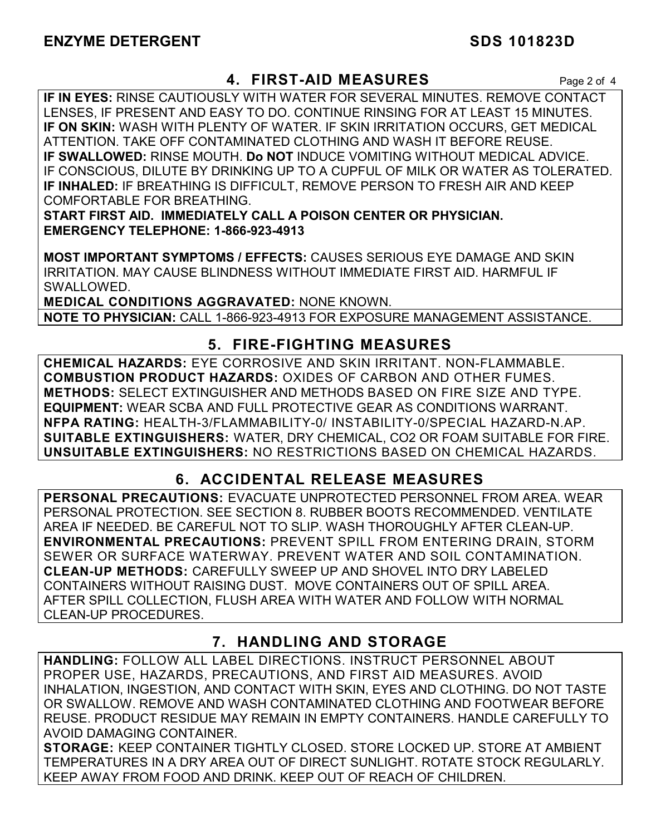## **4. FIRST-AID MEASURES** Page 2 of 4

**IF IN EYES:** RINSE CAUTIOUSLY WITH WATER FOR SEVERAL MINUTES. REMOVE CONTACT LENSES, IF PRESENT AND EASY TO DO. CONTINUE RINSING FOR AT LEAST 15 MINUTES. **IF ON SKIN:** WASH WITH PLENTY OF WATER. IF SKIN IRRITATION OCCURS, GET MEDICAL ATTENTION. TAKE OFF CONTAMINATED CLOTHING AND WASH IT BEFORE REUSE. **IF SWALLOWED:** RINSE MOUTH. **Do NOT** INDUCE VOMITING WITHOUT MEDICAL ADVICE. IF CONSCIOUS, DILUTE BY DRINKING UP TO A CUPFUL OF MILK OR WATER AS TOLERATED. **IF INHALED:** IF BREATHING IS DIFFICULT, REMOVE PERSON TO FRESH AIR AND KEEP COMFORTABLE FOR BREATHING.

**START FIRST AID. IMMEDIATELY CALL A POISON CENTER OR PHYSICIAN. EMERGENCY TELEPHONE: 1-866-923-4913**

**MOST IMPORTANT SYMPTOMS / EFFECTS:** CAUSES SERIOUS EYE DAMAGE AND SKIN IRRITATION. MAY CAUSE BLINDNESS WITHOUT IMMEDIATE FIRST AID. HARMFUL IF SWALLOWED.

**MEDICAL CONDITIONS AGGRAVATED:** NONE KNOWN. **NOTE TO PHYSICIAN:** CALL 1-866-923-4913 FOR EXPOSURE MANAGEMENT ASSISTANCE.

## **5. FIRE-FIGHTING MEASURES**

**CHEMICAL HAZARDS:** EYE CORROSIVE AND SKIN IRRITANT. NON-FLAMMABLE. **COMBUSTION PRODUCT HAZARDS:** OXIDES OF CARBON AND OTHER FUMES. **METHODS:** SELECT EXTINGUISHER AND METHODS BASED ON FIRE SIZE AND TYPE. **EQUIPMENT:** WEAR SCBA AND FULL PROTECTIVE GEAR AS CONDITIONS WARRANT. **NFPA RATING:** HEALTH-3/FLAMMABILITY-0/ INSTABILITY-0/SPECIAL HAZARD-N.AP. **SUITABLE EXTINGUISHERS:** WATER, DRY CHEMICAL, CO2 OR FOAM SUITABLE FOR FIRE. **UNSUITABLE EXTINGUISHERS:** NO RESTRICTIONS BASED ON CHEMICAL HAZARDS.

## **6. ACCIDENTAL RELEASE MEASURES**

**PERSONAL PRECAUTIONS:** EVACUATE UNPROTECTED PERSONNEL FROM AREA. WEAR PERSONAL PROTECTION. SEE SECTION 8. RUBBER BOOTS RECOMMENDED. VENTILATE AREA IF NEEDED. BE CAREFUL NOT TO SLIP. WASH THOROUGHLY AFTER CLEAN-UP. **ENVIRONMENTAL PRECAUTIONS:** PREVENT SPILL FROM ENTERING DRAIN, STORM SEWER OR SURFACE WATERWAY. PREVENT WATER AND SOIL CONTAMINATION. **CLEAN-UP METHODS:** CAREFULLY SWEEP UP AND SHOVEL INTO DRY LABELED CONTAINERS WITHOUT RAISING DUST. MOVE CONTAINERS OUT OF SPILL AREA. AFTER SPILL COLLECTION, FLUSH AREA WITH WATER AND FOLLOW WITH NORMAL CLEAN-UP PROCEDURES.

## **7. HANDLING AND STORAGE**

**HANDLING:** FOLLOW ALL LABEL DIRECTIONS. INSTRUCT PERSONNEL ABOUT PROPER USE, HAZARDS, PRECAUTIONS, AND FIRST AID MEASURES. AVOID INHALATION, INGESTION, AND CONTACT WITH SKIN, EYES AND CLOTHING. DO NOT TASTE OR SWALLOW. REMOVE AND WASH CONTAMINATED CLOTHING AND FOOTWEAR BEFORE REUSE. PRODUCT RESIDUE MAY REMAIN IN EMPTY CONTAINERS. HANDLE CAREFULLY TO AVOID DAMAGING CONTAINER.

**STORAGE:** KEEP CONTAINER TIGHTLY CLOSED. STORE LOCKED UP. STORE AT AMBIENT TEMPERATURES IN A DRY AREA OUT OF DIRECT SUNLIGHT. ROTATE STOCK REGULARLY. KEEP AWAY FROM FOOD AND DRINK. KEEP OUT OF REACH OF CHILDREN.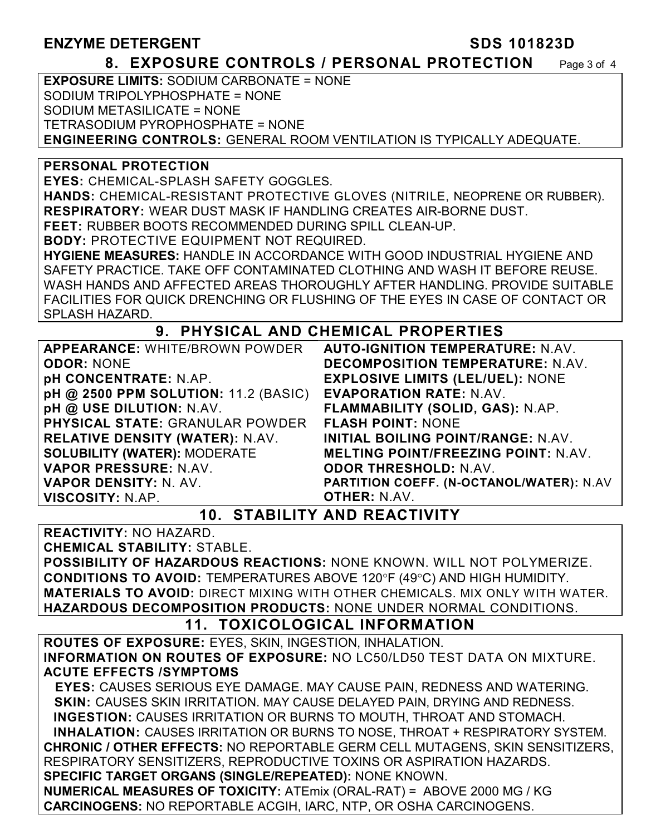### **ENZYME DETERGENT SDS 101823D**

#### **8. EXPOSURE CONTROLS / PERSONAL PROTECTION** Page 3 of 4

**EXPOSURE LIMITS:** SODIUM CARBONATE = NONE SODIUM TRIPOLYPHOSPHATE = NONE SODIUM METASILICATE = NONE TETRASODIUM PYROPHOSPHATE = NONE **ENGINEERING CONTROLS:** GENERAL ROOM VENTILATION IS TYPICALLY ADEQUATE.

#### **PERSONAL PROTECTION**

**EYES:** CHEMICAL-SPLASH SAFETY GOGGLES.

**HANDS:** CHEMICAL-RESISTANT PROTECTIVE GLOVES (NITRILE, NEOPRENE OR RUBBER). **RESPIRATORY:** WEAR DUST MASK IF HANDLING CREATES AIR-BORNE DUST.

**FEET:** RUBBER BOOTS RECOMMENDED DURING SPILL CLEAN-UP.

**BODY:** PROTECTIVE EQUIPMENT NOT REQUIRED.

**HYGIENE MEASURES:** HANDLE IN ACCORDANCE WITH GOOD INDUSTRIAL HYGIENE AND SAFETY PRACTICE. TAKE OFF CONTAMINATED CLOTHING AND WASH IT BEFORE REUSE. WASH HANDS AND AFFECTED AREAS THOROUGHLY AFTER HANDLING. PROVIDE SUITABLE FACILITIES FOR QUICK DRENCHING OR FLUSHING OF THE EYES IN CASE OF CONTACT OR SPLASH HAZARD.

## **9. PHYSICAL AND CHEMICAL PROPERTIES**

**APPEARANCE:** WHITE/BROWN POWDER **ODOR:** NONE **pH CONCENTRATE:** N.AP. **pH @ 2500 PPM SOLUTION:** 11.2 (BASIC) **pH @ USE DILUTION:** N.AV. **PHYSICAL STATE:** GRANULAR POWDER **RELATIVE DENSITY (WATER):** N.AV. **SOLUBILITY (WATER):** MODERATE **VAPOR PRESSURE:** N.AV. **VAPOR DENSITY:** N. AV. **VISCOSITY:** N.AP.

**AUTO-IGNITION TEMPERATURE:** N.AV. **DECOMPOSITION TEMPERATURE:** N.AV. **EXPLOSIVE LIMITS (LEL/UEL):** NONE **EVAPORATION RATE:** N.AV. **FLAMMABILITY (SOLID, GAS):** N.AP. **FLASH POINT:** NONE **INITIAL BOILING POINT/RANGE:** N.AV. **MELTING POINT/FREEZING POINT:** N.AV. **ODOR THRESHOLD:** N.AV. **PARTITION COEFF. (N-OCTANOL/WATER):** N.AV **OTHER:** N.AV.

#### **10. STABILITY AND REACTIVITY**

**REACTIVITY:** NO HAZARD. **CHEMICAL STABILITY:** STABLE. **POSSIBILITY OF HAZARDOUS REACTIONS:** NONE KNOWN. WILL NOT POLYMERIZE. **CONDITIONS TO AVOID:** TEMPERATURES ABOVE 120°F (49°C) AND HIGH HUMIDITY. **MATERIALS TO AVOID:** DIRECT MIXING WITH OTHER CHEMICALS. MIX ONLY WITH WATER. **HAZARDOUS DECOMPOSITION PRODUCTS:** NONE UNDER NORMAL CONDITIONS.

## **11. TOXICOLOGICAL INFORMATION**

**ROUTES OF EXPOSURE:** EYES, SKIN, INGESTION, INHALATION. **INFORMATION ON ROUTES OF EXPOSURE:** NO LC50/LD50 TEST DATA ON MIXTURE. **ACUTE EFFECTS /SYMPTOMS**

 **EYES:** CAUSES SERIOUS EYE DAMAGE. MAY CAUSE PAIN, REDNESS AND WATERING. **SKIN:** CAUSES SKIN IRRITATION. MAY CAUSE DELAYED PAIN, DRYING AND REDNESS. **INGESTION:** CAUSES IRRITATION OR BURNS TO MOUTH, THROAT AND STOMACH. **INHALATION:** CAUSES IRRITATION OR BURNS TO NOSE, THROAT + RESPIRATORY SYSTEM. **CHRONIC / OTHER EFFECTS:** NO REPORTABLE GERM CELL MUTAGENS, SKIN SENSITIZERS, RESPIRATORY SENSITIZERS, REPRODUCTIVE TOXINS OR ASPIRATION HAZARDS. **SPECIFIC TARGET ORGANS (SINGLE/REPEATED):** NONE KNOWN. **NUMERICAL MEASURES OF TOXICITY:** ATEmix (ORAL-RAT) = ABOVE 2000 MG / KG **CARCINOGENS:** NO REPORTABLE ACGIH, IARC, NTP, OR OSHA CARCINOGENS.